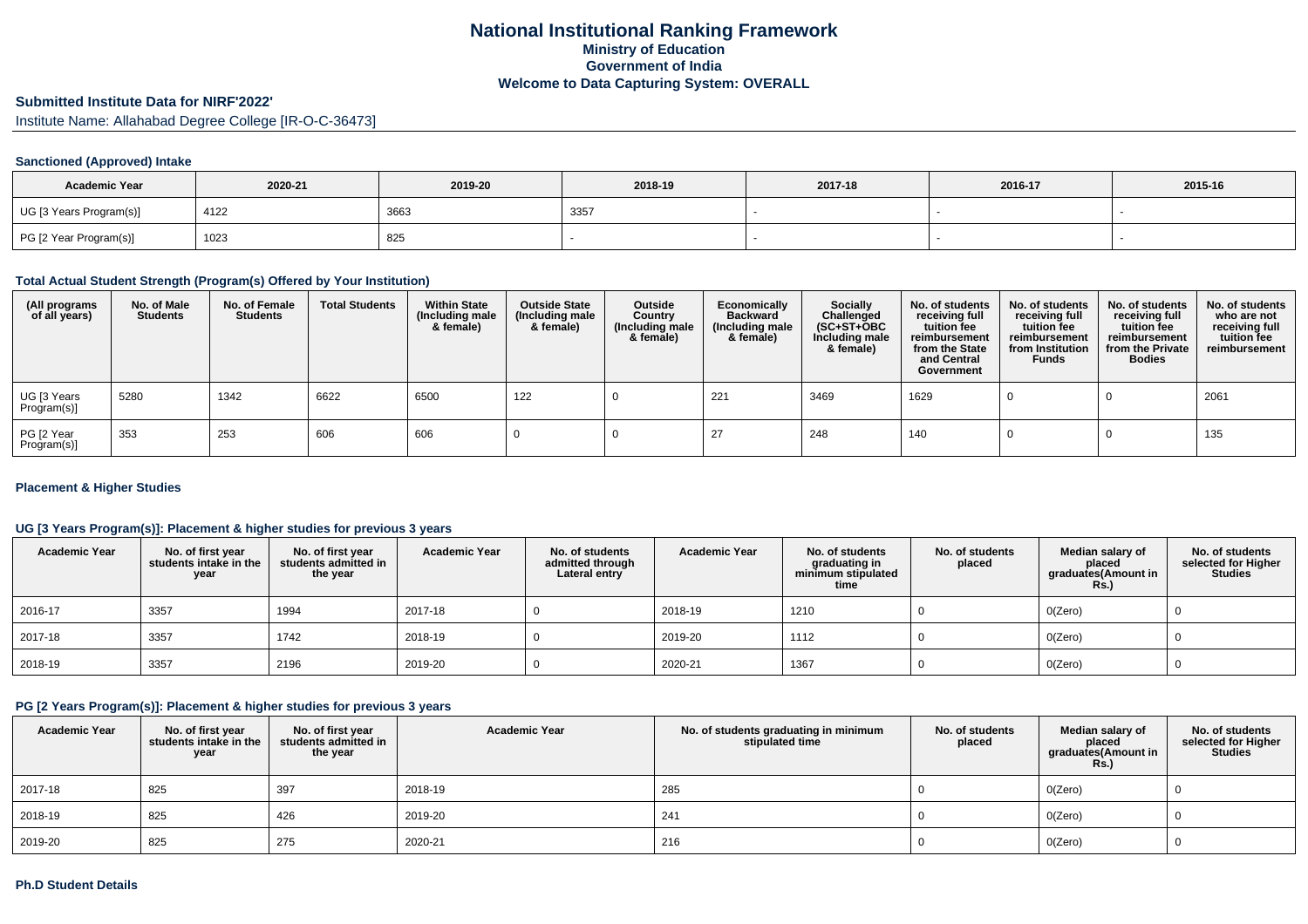# **Submitted Institute Data for NIRF'2022'**

Institute Name: Allahabad Degree College [IR-O-C-36473]

#### **Sanctioned (Approved) Intake**

| <b>Academic Year</b>    | 2020-21 | 2019-20 | 2018-19 | 2017-18 | 2016-17 | 2015-16 |
|-------------------------|---------|---------|---------|---------|---------|---------|
| UG [3 Years Program(s)] | 4122    | 3663    | 3357    |         |         |         |
| PG [2 Year Program(s)]  | 1023    | 825     |         |         |         |         |

#### **Total Actual Student Strength (Program(s) Offered by Your Institution)**

| (All programs<br>of all years) | No. of Male<br><b>Students</b> | No. of Female<br><b>Students</b> | <b>Total Students</b> | <b>Within State</b><br>(Including male<br>& female) | <b>Outside State</b><br>(Including male<br>& female) | Outside<br>Country<br>(Including male<br>& female) | Economically<br><b>Backward</b><br>(Including male<br>& female) | <b>Socially</b><br>Challenged<br>$(SC+ST+OBC)$<br>Including male<br>& female) | No. of students<br>receiving full<br>tuition fee<br>reimbursement<br>from the State<br>and Central<br>Government | No. of students<br>receiving full<br>tuition fee<br>reimbursement<br>from Institution<br><b>Funds</b> | No. of students<br>receiving full<br>tuition fee<br>reimbursement<br>from the Private<br><b>Bodies</b> | No. of students<br>who are not<br>receiving full<br>tuition fee<br>reimbursement |
|--------------------------------|--------------------------------|----------------------------------|-----------------------|-----------------------------------------------------|------------------------------------------------------|----------------------------------------------------|-----------------------------------------------------------------|-------------------------------------------------------------------------------|------------------------------------------------------------------------------------------------------------------|-------------------------------------------------------------------------------------------------------|--------------------------------------------------------------------------------------------------------|----------------------------------------------------------------------------------|
| UG [3 Years<br>Program(s)]     | 5280                           | 1342                             | 6622                  | 6500                                                | 122                                                  |                                                    | 221                                                             | 3469                                                                          | 1629                                                                                                             |                                                                                                       |                                                                                                        | 2061                                                                             |
| PG [2 Year<br>Program(s)]      | 353                            | 253                              | 606                   | 606                                                 |                                                      |                                                    |                                                                 | 248                                                                           | 140                                                                                                              |                                                                                                       |                                                                                                        | 135                                                                              |

## **Placement & Higher Studies**

## **UG [3 Years Program(s)]: Placement & higher studies for previous 3 years**

| <b>Academic Year</b> | No. of first year<br>students intake in the<br>year | No. of first year<br>students admitted in<br>the year | <b>Academic Year</b> | No. of students<br>admitted through<br>Lateral entry | <b>Academic Year</b> | No. of students<br>graduating in<br>minimum stipulated<br>time | No. of students<br>placed | Median salary of<br>placed<br>graduates(Amount in<br><b>Rs.)</b> | No. of students<br>selected for Higher<br><b>Studies</b> |
|----------------------|-----------------------------------------------------|-------------------------------------------------------|----------------------|------------------------------------------------------|----------------------|----------------------------------------------------------------|---------------------------|------------------------------------------------------------------|----------------------------------------------------------|
| 2016-17              | 3357                                                | 1994                                                  | 2017-18              |                                                      | 2018-19              | 1210                                                           |                           | O(Zero)                                                          |                                                          |
| 2017-18              | 3357                                                | 1742                                                  | 2018-19              |                                                      | 2019-20              | 1112                                                           |                           | O(Zero)                                                          |                                                          |
| 2018-19              | 3357                                                | 2196                                                  | 2019-20              |                                                      | 2020-21              | 1367                                                           |                           | O(Zero)                                                          |                                                          |

## **PG [2 Years Program(s)]: Placement & higher studies for previous 3 years**

| <b>Academic Year</b> | No. of first year<br>students intake in the<br>year | No. of first year<br>students admitted in<br>the year | <b>Academic Year</b> | No. of students graduating in minimum<br>stipulated time | No. of students<br>placed | Median salary of<br>placed<br>graduates(Amount in<br><b>Rs.)</b> | No. of students<br>selected for Higher<br><b>Studies</b> |
|----------------------|-----------------------------------------------------|-------------------------------------------------------|----------------------|----------------------------------------------------------|---------------------------|------------------------------------------------------------------|----------------------------------------------------------|
| 2017-18              | 825                                                 | 397                                                   | 2018-19              | 285                                                      |                           | 0(Zero)                                                          |                                                          |
| 2018-19              | 825                                                 | 426                                                   | 2019-20              | 241                                                      |                           | O(Zero)                                                          |                                                          |
| 2019-20              | 825                                                 | 275                                                   | 2020-21              | 216                                                      |                           | O(Zero)                                                          |                                                          |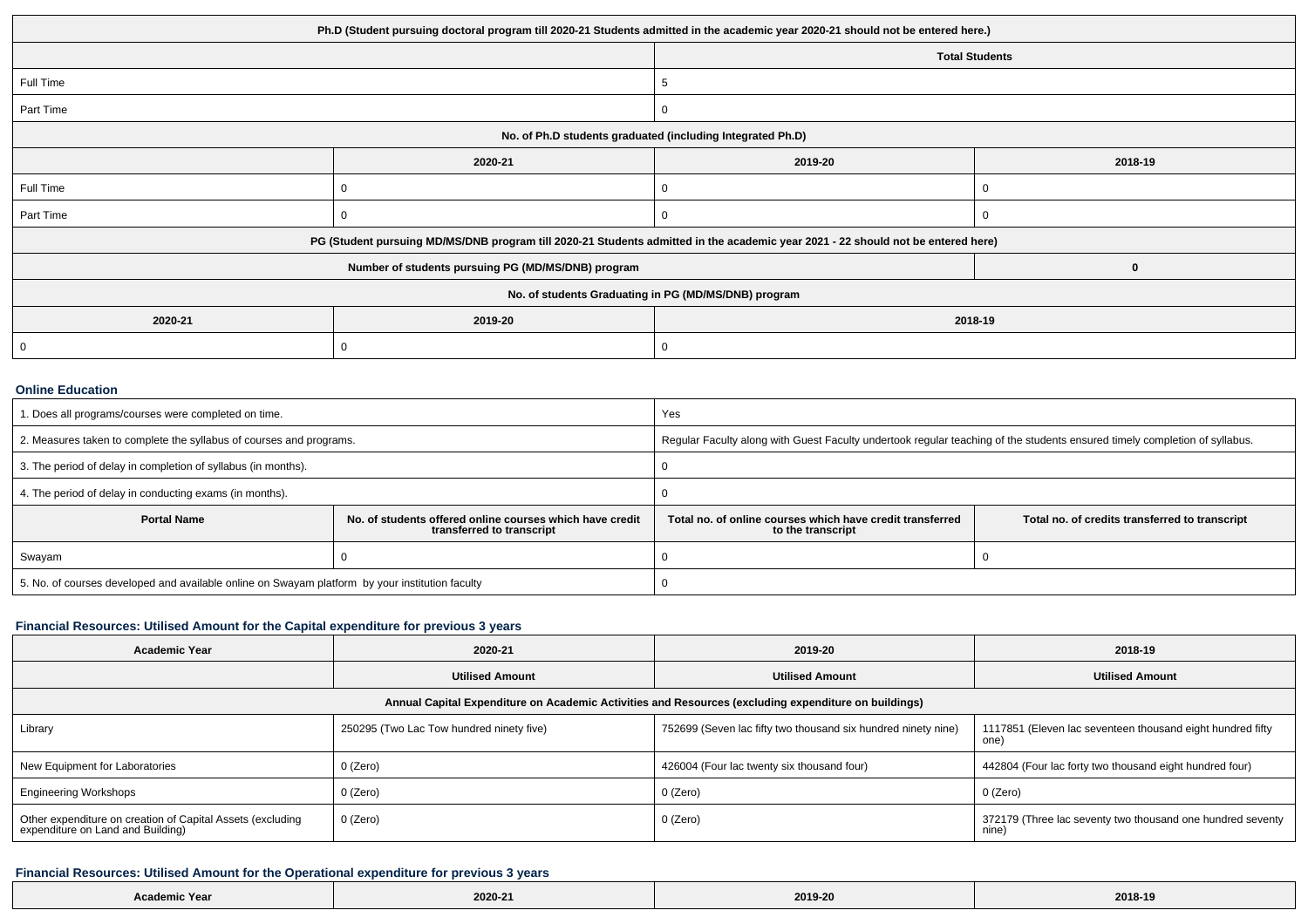| Ph.D (Student pursuing doctoral program till 2020-21 Students admitted in the academic year 2020-21 should not be entered here.) |                                                                                                                                  |                                                      |                       |  |  |
|----------------------------------------------------------------------------------------------------------------------------------|----------------------------------------------------------------------------------------------------------------------------------|------------------------------------------------------|-----------------------|--|--|
|                                                                                                                                  |                                                                                                                                  |                                                      | <b>Total Students</b> |  |  |
| Full Time                                                                                                                        |                                                                                                                                  | 5                                                    |                       |  |  |
| Part Time                                                                                                                        |                                                                                                                                  | 0                                                    |                       |  |  |
| No. of Ph.D students graduated (including Integrated Ph.D)                                                                       |                                                                                                                                  |                                                      |                       |  |  |
|                                                                                                                                  | 2020-21                                                                                                                          | 2019-20                                              | 2018-19               |  |  |
| Full Time                                                                                                                        | 0                                                                                                                                | U                                                    | U                     |  |  |
| Part Time                                                                                                                        | <sup>-</sup>                                                                                                                     | $\mathbf{0}$                                         | -0                    |  |  |
|                                                                                                                                  | PG (Student pursuing MD/MS/DNB program till 2020-21 Students admitted in the academic year 2021 - 22 should not be entered here) |                                                      |                       |  |  |
|                                                                                                                                  | Number of students pursuing PG (MD/MS/DNB) program                                                                               |                                                      | 0                     |  |  |
|                                                                                                                                  |                                                                                                                                  | No. of students Graduating in PG (MD/MS/DNB) program |                       |  |  |
| 2020-21                                                                                                                          | 2019-20                                                                                                                          | 2018-19                                              |                       |  |  |
| 0                                                                                                                                | J                                                                                                                                | 0                                                    |                       |  |  |

#### **Online Education**

| 1. Does all programs/courses were completed on time.                                            |                                                                                       | Yes                                                                                                                        |                                                |  |
|-------------------------------------------------------------------------------------------------|---------------------------------------------------------------------------------------|----------------------------------------------------------------------------------------------------------------------------|------------------------------------------------|--|
| 2. Measures taken to complete the syllabus of courses and programs.                             |                                                                                       | Regular Faculty along with Guest Faculty undertook regular teaching of the students ensured timely completion of syllabus. |                                                |  |
| 3. The period of delay in completion of syllabus (in months).                                   |                                                                                       |                                                                                                                            |                                                |  |
| 4. The period of delay in conducting exams (in months).                                         |                                                                                       |                                                                                                                            |                                                |  |
| <b>Portal Name</b>                                                                              | No. of students offered online courses which have credit<br>transferred to transcript | Total no, of online courses which have credit transferred<br>to the transcript                                             | Total no. of credits transferred to transcript |  |
| Swayam                                                                                          |                                                                                       |                                                                                                                            |                                                |  |
| 5. No. of courses developed and available online on Swayam platform by your institution faculty |                                                                                       |                                                                                                                            |                                                |  |

# **Financial Resources: Utilised Amount for the Capital expenditure for previous 3 years**

| <b>Academic Year</b>                                                                                 | 2020-21                                  | 2019-20                                                       | 2018-19                                                             |  |  |  |  |
|------------------------------------------------------------------------------------------------------|------------------------------------------|---------------------------------------------------------------|---------------------------------------------------------------------|--|--|--|--|
|                                                                                                      | <b>Utilised Amount</b>                   | <b>Utilised Amount</b>                                        | <b>Utilised Amount</b>                                              |  |  |  |  |
| Annual Capital Expenditure on Academic Activities and Resources (excluding expenditure on buildings) |                                          |                                                               |                                                                     |  |  |  |  |
| Library                                                                                              | 250295 (Two Lac Tow hundred ninety five) | 752699 (Seven lac fifty two thousand six hundred ninety nine) | 1117851 (Eleven lac seventeen thousand eight hundred fifty<br>one)  |  |  |  |  |
| New Equipment for Laboratories                                                                       | 0 (Zero)                                 | 426004 (Four lac twenty six thousand four)                    | 442804 (Four lac forty two thousand eight hundred four)             |  |  |  |  |
| <b>Engineering Workshops</b>                                                                         | 0 (Zero)                                 | 0 (Zero)                                                      | 0 (Zero)                                                            |  |  |  |  |
| Other expenditure on creation of Capital Assets (excluding<br>expenditure on Land and Building)      | 0 (Zero)                                 | 0 (Zero)                                                      | 372179 (Three lac seventy two thousand one hundred seventy<br>nine) |  |  |  |  |

# **Financial Resources: Utilised Amount for the Operational expenditure for previous 3 years**

| ∵Year<br>Academic | 2020-21 | 2019-20 | 2018-19 |
|-------------------|---------|---------|---------|
|                   |         |         |         |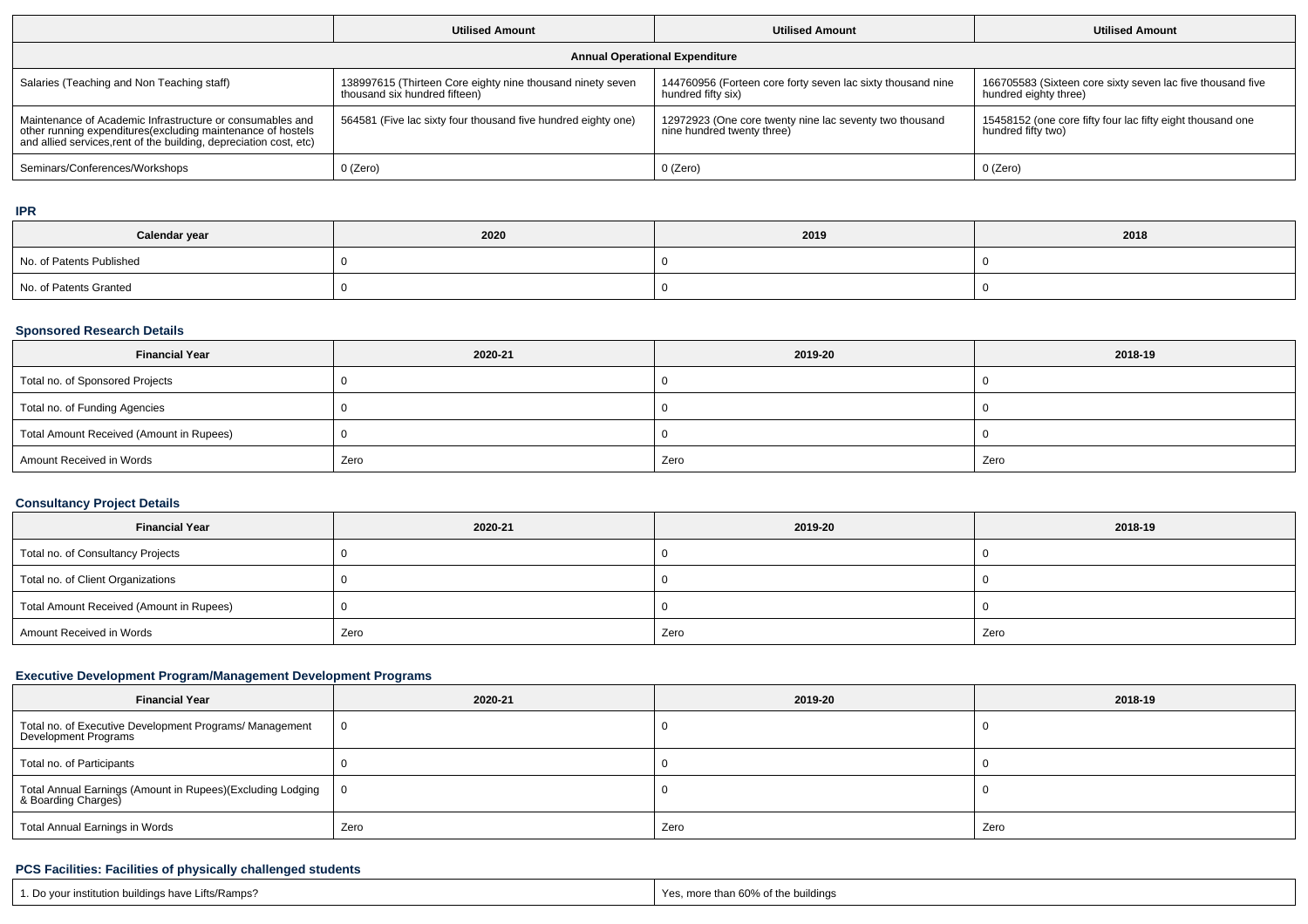|                                                                                                                                                                                                 | <b>Utilised Amount</b>                                                                      | <b>Utilised Amount</b>                                                                | <b>Utilised Amount</b>                                                              |  |  |  |  |
|-------------------------------------------------------------------------------------------------------------------------------------------------------------------------------------------------|---------------------------------------------------------------------------------------------|---------------------------------------------------------------------------------------|-------------------------------------------------------------------------------------|--|--|--|--|
| <b>Annual Operational Expenditure</b>                                                                                                                                                           |                                                                                             |                                                                                       |                                                                                     |  |  |  |  |
| Salaries (Teaching and Non Teaching staff)                                                                                                                                                      | 138997615 (Thirteen Core eighty nine thousand ninety seven<br>thousand six hundred fifteen) | 144760956 (Forteen core forty seven lac sixty thousand nine<br>hundred fifty six)     | 166705583 (Sixteen core sixty seven lac five thousand five<br>hundred eighty three) |  |  |  |  |
| Maintenance of Academic Infrastructure or consumables and<br>other running expenditures (excluding maintenance of hostels<br>and allied services, rent of the building, depreciation cost, etc) | 564581 (Five lac sixty four thousand five hundred eighty one)                               | 12972923 (One core twenty nine lac seventy two thousand<br>nine hundred twenty three) | 15458152 (one core fifty four lac fifty eight thousand one<br>hundred fifty two)    |  |  |  |  |
| Seminars/Conferences/Workshops                                                                                                                                                                  | $0$ (Zero)                                                                                  | 0 (Zero)                                                                              | 0 (Zero)                                                                            |  |  |  |  |

**IPR**

| Calendar year            | 2020 | 2019 | 2018 |
|--------------------------|------|------|------|
| No. of Patents Published |      |      |      |
| No. of Patents Granted   |      |      |      |

## **Sponsored Research Details**

| <b>Financial Year</b>                    | 2020-21 | 2019-20 | 2018-19 |
|------------------------------------------|---------|---------|---------|
| Total no. of Sponsored Projects          |         |         |         |
| Total no. of Funding Agencies            |         |         |         |
| Total Amount Received (Amount in Rupees) |         |         |         |
| Amount Received in Words                 | Zero    | Zero    | Zero    |

# **Consultancy Project Details**

| <b>Financial Year</b>                    | 2020-21 | 2019-20 | 2018-19 |
|------------------------------------------|---------|---------|---------|
| Total no. of Consultancy Projects        |         |         |         |
| Total no. of Client Organizations        |         |         |         |
| Total Amount Received (Amount in Rupees) |         |         |         |
| Amount Received in Words                 | Zero    | Zero    | Zero    |

## **Executive Development Program/Management Development Programs**

| <b>Financial Year</b>                                                                         | 2020-21 | 2019-20 | 2018-19 |
|-----------------------------------------------------------------------------------------------|---------|---------|---------|
| Total no. of Executive Development Programs/ Management<br>Development Programs               | - 0     |         |         |
| Total no. of Participants                                                                     |         |         |         |
| <sup> </sup> Total Annual Earnings (Amount in Rupees)(Excluding Lodging<br>&Boarding Charges) | - 0     |         |         |
| Total Annual Earnings in Words                                                                | Zero    | Zero    | Zero    |

## **PCS Facilities: Facilities of physically challenged students**

| ı buildinas havı<br>.itts/Ramps<br>Do vou.<br>$\cdots$ institution $\mathbf{u}$ . | Yes<br>mor<br>aildings<br>re than 60. |
|-----------------------------------------------------------------------------------|---------------------------------------|
|-----------------------------------------------------------------------------------|---------------------------------------|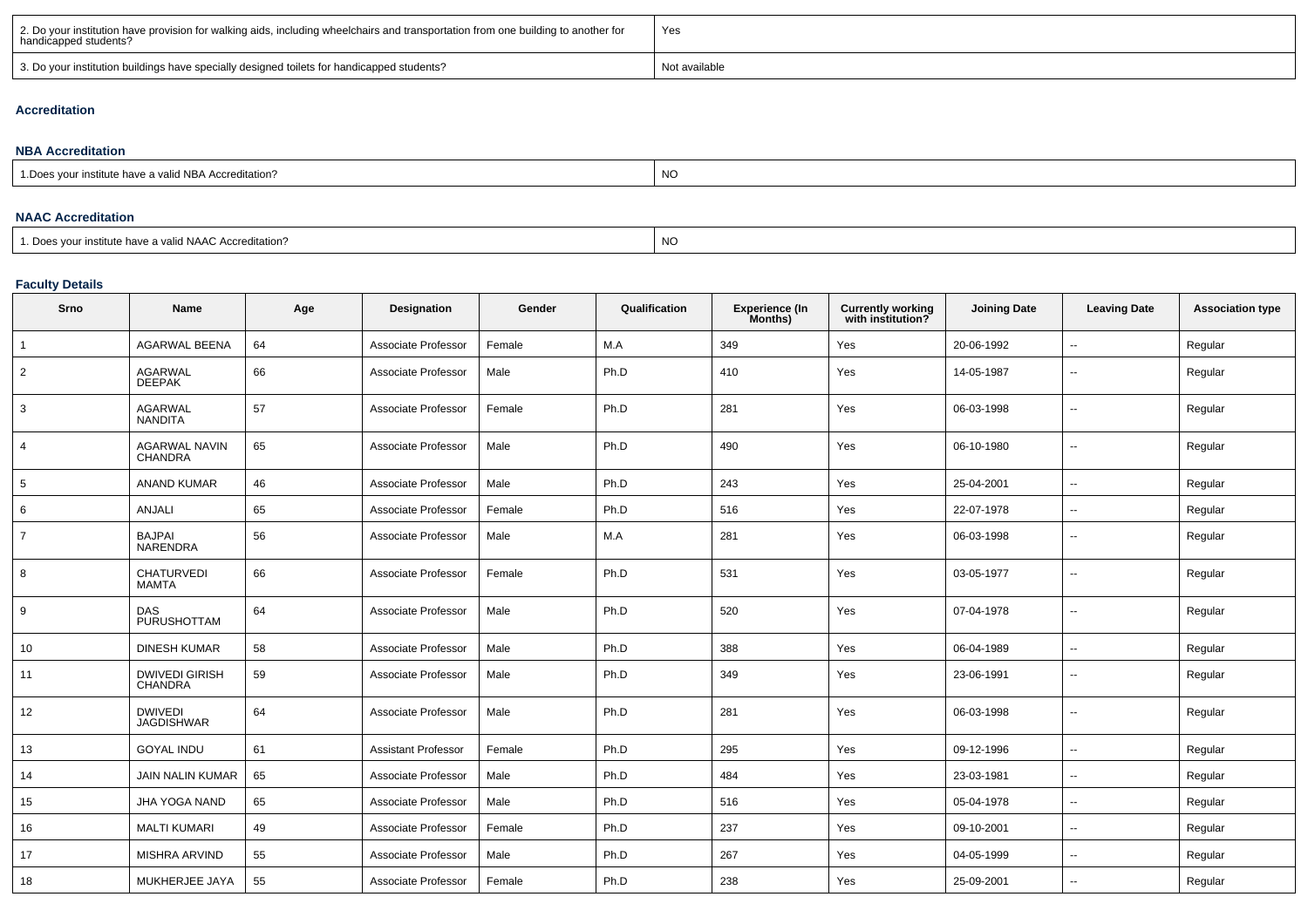| 2. Do your institution have provision for walking aids, including wheelchairs and transportation from one building to another for<br>handicapped students? | Yes           |
|------------------------------------------------------------------------------------------------------------------------------------------------------------|---------------|
| 3. Do your institution buildings have specially designed toilets for handicapped students?                                                                 | Not available |

#### **Accreditation**

| <b>NBA Accreditation</b>                               |           |  |  |  |  |  |  |  |
|--------------------------------------------------------|-----------|--|--|--|--|--|--|--|
| 1. Does your institute have a valid NBA Accreditation? | <b>NC</b> |  |  |  |  |  |  |  |
|                                                        |           |  |  |  |  |  |  |  |
| <b>NAAC Accreditation</b>                              |           |  |  |  |  |  |  |  |

1. Does your institute have a valid NAAC Accreditation?expression of the contract of the contract of the contract of the contract of the contract of the contract of the contract of the contract of the contract of the contract of the contract of the contract of the contract of

#### **Faculty Details**

| Srno            | Name                                    | Age | Designation                | Gender | Qualification | <b>Experience (In</b><br>Months) | <b>Currently working</b><br>with institution? | <b>Joining Date</b> | <b>Leaving Date</b>      | <b>Association type</b> |
|-----------------|-----------------------------------------|-----|----------------------------|--------|---------------|----------------------------------|-----------------------------------------------|---------------------|--------------------------|-------------------------|
| $\overline{1}$  | <b>AGARWAL BEENA</b>                    | 64  | Associate Professor        | Female | M.A           | 349                              | Yes                                           | 20-06-1992          | $\ddotsc$                | Regular                 |
| $\overline{2}$  | <b>AGARWAL</b><br>DEEPAK                | 66  | Associate Professor        | Male   | Ph.D          | 410                              | Yes                                           | 14-05-1987          | $\overline{\phantom{a}}$ | Regular                 |
| 3               | <b>AGARWAL</b><br><b>NANDITA</b>        | 57  | Associate Professor        | Female | Ph.D          | 281                              | Yes                                           | 06-03-1998          | $\sim$                   | Regular                 |
| $\overline{4}$  | <b>AGARWAL NAVIN</b><br><b>CHANDRA</b>  | 65  | Associate Professor        | Male   | Ph.D          | 490                              | Yes                                           | 06-10-1980          | $\sim$                   | Regular                 |
| $5\overline{5}$ | <b>ANAND KUMAR</b>                      | 46  | Associate Professor        | Male   | Ph.D          | 243                              | Yes                                           | 25-04-2001          | $\overline{\phantom{a}}$ | Regular                 |
| 6               | ANJALI                                  | 65  | Associate Professor        | Female | Ph.D          | 516                              | Yes                                           | 22-07-1978          | $\overline{\phantom{a}}$ | Regular                 |
| $\overline{7}$  | <b>BAJPAI</b><br>NARENDRA               | 56  | Associate Professor        | Male   | M.A           | 281                              | Yes                                           | 06-03-1998          | $\overline{\phantom{a}}$ | Regular                 |
| 8               | <b>CHATURVEDI</b><br><b>MAMTA</b>       | 66  | Associate Professor        | Female | Ph.D          | 531                              | Yes                                           | 03-05-1977          | $\overline{\phantom{a}}$ | Regular                 |
| 9               | <b>DAS</b><br>PURUSHOTTAM               | 64  | Associate Professor        | Male   | Ph.D          | 520                              | Yes                                           | 07-04-1978          | $\sim$                   | Regular                 |
| 10              | <b>DINESH KUMAR</b>                     | 58  | Associate Professor        | Male   | Ph.D          | 388                              | Yes                                           | 06-04-1989          | $\overline{\phantom{a}}$ | Regular                 |
| 11              | <b>DWIVEDI GIRISH</b><br><b>CHANDRA</b> | 59  | Associate Professor        | Male   | Ph.D          | 349                              | Yes                                           | 23-06-1991          | $\overline{\phantom{a}}$ | Regular                 |
| 12              | <b>DWIVEDI</b><br><b>JAGDISHWAR</b>     | 64  | Associate Professor        | Male   | Ph.D          | 281                              | Yes                                           | 06-03-1998          | $\overline{\phantom{a}}$ | Regular                 |
| 13              | <b>GOYAL INDU</b>                       | 61  | <b>Assistant Professor</b> | Female | Ph.D          | 295                              | Yes                                           | 09-12-1996          | $\overline{\phantom{a}}$ | Regular                 |
| 14              | JAIN NALIN KUMAR                        | 65  | Associate Professor        | Male   | Ph.D          | 484                              | Yes                                           | 23-03-1981          | $\ddot{\phantom{a}}$     | Regular                 |
| 15              | JHA YOGA NAND                           | 65  | Associate Professor        | Male   | Ph.D          | 516                              | Yes                                           | 05-04-1978          | $\overline{\phantom{a}}$ | Regular                 |
| 16              | <b>MALTI KUMARI</b>                     | 49  | Associate Professor        | Female | Ph.D          | 237                              | Yes                                           | 09-10-2001          | $\sim$                   | Regular                 |
| 17              | MISHRA ARVIND                           | 55  | Associate Professor        | Male   | Ph.D          | 267                              | Yes                                           | 04-05-1999          | $\sim$                   | Regular                 |
| 18              | MUKHERJEE JAYA                          | 55  | Associate Professor        | Female | Ph.D          | 238                              | Yes                                           | 25-09-2001          | $\overline{\phantom{a}}$ | Regular                 |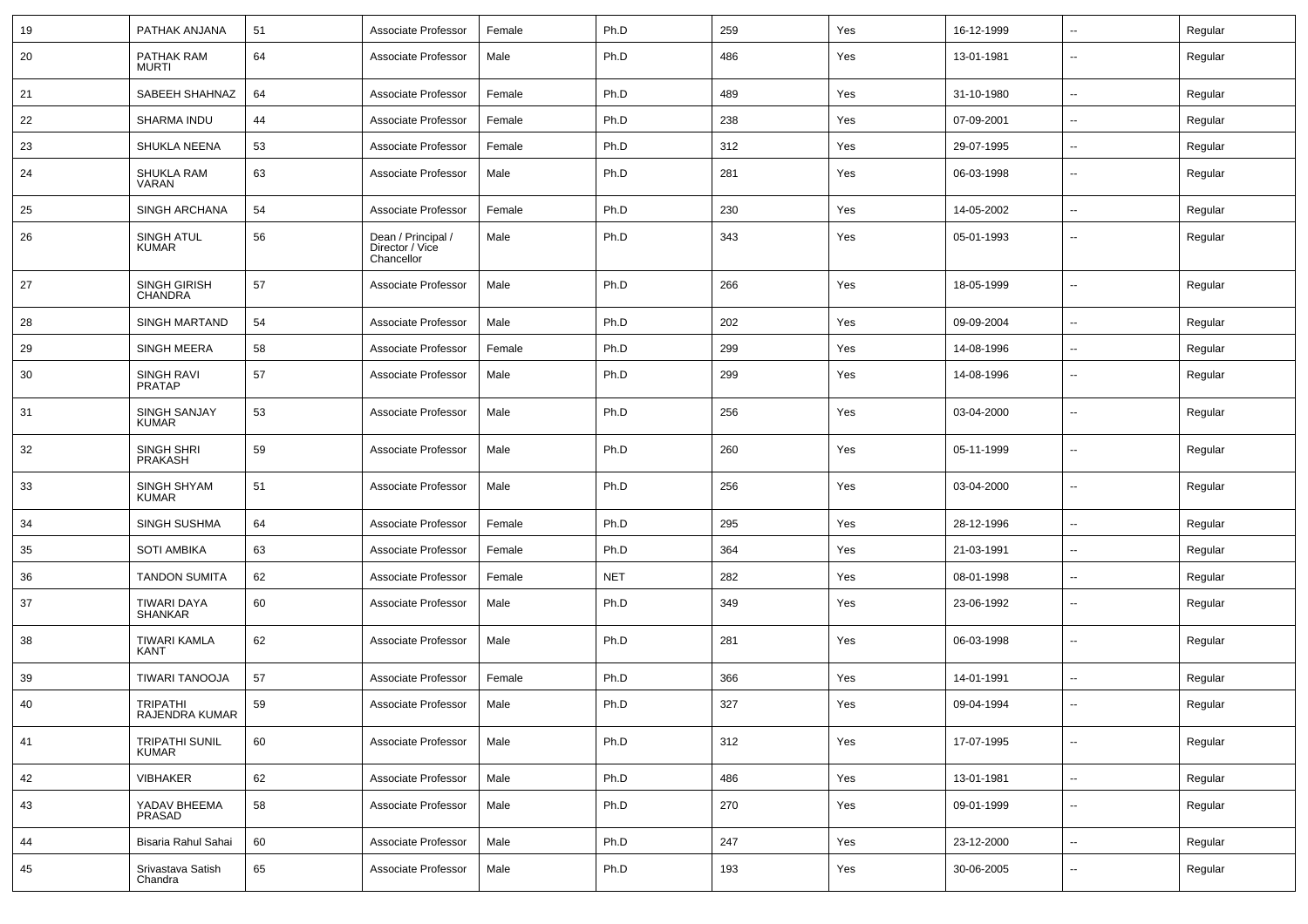| 19 | PATHAK ANJANA                         | 51 | Associate Professor                                 | Female | Ph.D       | 259 | Yes | 16-12-1999 | $\sim$                   | Regular |
|----|---------------------------------------|----|-----------------------------------------------------|--------|------------|-----|-----|------------|--------------------------|---------|
| 20 | PATHAK RAM<br><b>MURTI</b>            | 64 | Associate Professor                                 | Male   | Ph.D       | 486 | Yes | 13-01-1981 | $\overline{\phantom{a}}$ | Regular |
| 21 | SABEEH SHAHNAZ                        | 64 | Associate Professor                                 | Female | Ph.D       | 489 | Yes | 31-10-1980 | $\overline{\phantom{a}}$ | Regular |
| 22 | SHARMA INDU                           | 44 | Associate Professor                                 | Female | Ph.D       | 238 | Yes | 07-09-2001 | $\overline{\phantom{a}}$ | Regular |
| 23 | <b>SHUKLA NEENA</b>                   | 53 | Associate Professor                                 | Female | Ph.D       | 312 | Yes | 29-07-1995 | $\overline{\phantom{a}}$ | Regular |
| 24 | <b>SHUKLA RAM</b><br>VARAN            | 63 | Associate Professor                                 | Male   | Ph.D       | 281 | Yes | 06-03-1998 | --                       | Regular |
| 25 | SINGH ARCHANA                         | 54 | Associate Professor                                 | Female | Ph.D       | 230 | Yes | 14-05-2002 | --                       | Regular |
| 26 | <b>SINGH ATUL</b><br><b>KUMAR</b>     | 56 | Dean / Principal /<br>Director / Vice<br>Chancellor | Male   | Ph.D       | 343 | Yes | 05-01-1993 | $\sim$                   | Regular |
| 27 | <b>SINGH GIRISH</b><br><b>CHANDRA</b> | 57 | Associate Professor                                 | Male   | Ph.D       | 266 | Yes | 18-05-1999 | --                       | Regular |
| 28 | <b>SINGH MARTAND</b>                  | 54 | Associate Professor                                 | Male   | Ph.D       | 202 | Yes | 09-09-2004 | $\overline{\phantom{a}}$ | Regular |
| 29 | <b>SINGH MEERA</b>                    | 58 | Associate Professor                                 | Female | Ph.D       | 299 | Yes | 14-08-1996 | $\sim$                   | Regular |
| 30 | <b>SINGH RAVI</b><br><b>PRATAP</b>    | 57 | Associate Professor                                 | Male   | Ph.D       | 299 | Yes | 14-08-1996 | --                       | Regular |
| 31 | <b>SINGH SANJAY</b><br><b>KUMAR</b>   | 53 | Associate Professor                                 | Male   | Ph.D       | 256 | Yes | 03-04-2000 | $\overline{\phantom{a}}$ | Regular |
| 32 | SINGH SHRI<br><b>PRAKASH</b>          | 59 | Associate Professor                                 | Male   | Ph.D       | 260 | Yes | 05-11-1999 | $\overline{\phantom{a}}$ | Regular |
| 33 | SINGH SHYAM<br><b>KUMAR</b>           | 51 | Associate Professor                                 | Male   | Ph.D       | 256 | Yes | 03-04-2000 | $\overline{\phantom{a}}$ | Regular |
| 34 | <b>SINGH SUSHMA</b>                   | 64 | Associate Professor                                 | Female | Ph.D       | 295 | Yes | 28-12-1996 | $\sim$                   | Regular |
| 35 | <b>SOTI AMBIKA</b>                    | 63 | Associate Professor                                 | Female | Ph.D       | 364 | Yes | 21-03-1991 | $\overline{\phantom{a}}$ | Regular |
| 36 | <b>TANDON SUMITA</b>                  | 62 | Associate Professor                                 | Female | <b>NET</b> | 282 | Yes | 08-01-1998 | $\sim$                   | Regular |
| 37 | TIWARI DAYA<br><b>SHANKAR</b>         | 60 | Associate Professor                                 | Male   | Ph.D       | 349 | Yes | 23-06-1992 | --                       | Regular |
| 38 | TIWARI KAMLA<br>KANT                  | 62 | Associate Professor                                 | Male   | Ph.D       | 281 | Yes | 06-03-1998 | --                       | Regular |
| 39 | TIWARI TANOOJA                        | 57 | Associate Professor                                 | Female | Ph.D       | 366 | Yes | 14-01-1991 | $\overline{a}$           | Regular |
| 40 | <b>TRIPATHI</b><br>RAJENDRA KUMAR     | 59 | Associate Professor                                 | Male   | Ph.D       | 327 | Yes | 09-04-1994 | $\overline{a}$           | Regular |
| 41 | <b>TRIPATHI SUNIL</b><br><b>KUMAR</b> | 60 | Associate Professor                                 | Male   | Ph.D       | 312 | Yes | 17-07-1995 | Ξ.                       | Regular |
| 42 | <b>VIBHAKER</b>                       | 62 | Associate Professor                                 | Male   | Ph.D       | 486 | Yes | 13-01-1981 | $\sim$                   | Regular |
| 43 | YADAV BHEEMA<br>PRASAD                | 58 | Associate Professor                                 | Male   | Ph.D       | 270 | Yes | 09-01-1999 | $\sim$                   | Regular |
| 44 | Bisaria Rahul Sahai                   | 60 | Associate Professor                                 | Male   | Ph.D       | 247 | Yes | 23-12-2000 | $\sim$                   | Regular |
| 45 | Srivastava Satish<br>Chandra          | 65 | Associate Professor                                 | Male   | Ph.D       | 193 | Yes | 30-06-2005 | $\overline{\phantom{a}}$ | Regular |